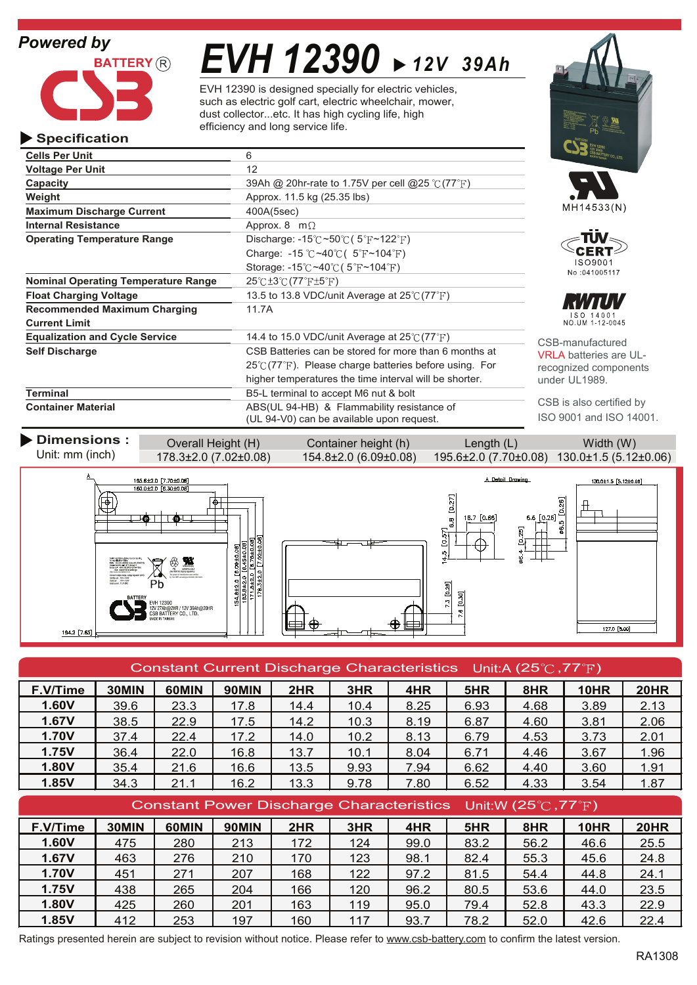## *Powered by*

**Specification**



# *EVH 12390 12V 39Ah*

EVH 12390 is designed specially for electric vehicles, such as electric golf cart, electric wheelchair, mower, dust collector...etc. It has high cycling life, high efficiency and long service life.

#### **Cells Per Unit** 6 **Voltage Per Unit** 12 **Capacity** 39Ah @ 20hr-rate to 1.75V per cell @25 °C (77 <sup>°</sup>F) **Weight Approx.** 11.5 kg (25.35 lbs) MH14533(N) **Maximum Discharge Current** 400A(5sec) **Internal Resistance** Approx. 8 m $\Omega$ ПN **Operating Temperature Range** Discharge:  $-15^{\circ}$ C ~50 $^{\circ}$ C (5 $^{\circ}$ F ~122 $^{\circ}$ F) Charge:  $-15$  °C ~40 °C ( $5$ °F ~104 °F) CERT ISO9001 Storage: -15 $\degree$ C ~40 $\degree$ C (5 $\degree$ F ~104 $\degree$ F) No:041005117 **Nominal Operating Temperature Range 25°C ±3°C (77°F ±5°F) Float Charging Voltage** 13.5 to 13.8 VDC/unit Average at 25°C (77°F) **Recommended Maximum Charging 11.7A** ISO 14001<br>NO.UM 1-12-0045 **Current Limit Equalization and Cycle Service** 14.4 to 15.0 VDC/unit Average at 25°C (77°F) CSB-manufactured **Self Discharge** CSB Batteries can be stored for more than 6 months at VRLA batteries are UL- $25^{\circ}$ C(77 $^{\circ}$ F). Please charge batteries before using. For recognized components higher temperatures the time interval will be shorter. under UL1989. **Terminal** B5-L terminal to accept M6 nut & bolt CSB is also certified by **Container Material** ABS(UL 94-HB) & Flammability resistance of ISO 9001 and ISO 14001. (UL 94-V0) can be available upon request.

**Dimensions :** Overall Height (H) Container height (h) Length (L) Width (W) Unit: mm (inch) 178.3±2.0 (7.02 ±0.08) 154.8±2.0 (6.09±0.08) 195.6±2.0 (7.70±0.08) 130.0±1.5 (5.12±0.06) A Detail Drawing  $130.0 \pm 1.5$  [5.12±0.06]  $\frac{195.6 \pm 2.0 [7.70 \pm 0.08]}{160.0 \pm 2.0 [6.30 \pm 0.08]}$  $[0.27]$ 



| Constant Current Discharge Characteristics Unit:A (25 $\degree$ C, 77 $\degree$ F) |       |       |              |      |      |      |      |      |             |             |
|------------------------------------------------------------------------------------|-------|-------|--------------|------|------|------|------|------|-------------|-------------|
| F.V/Time                                                                           | 30MIN | 60MIN | <b>90MIN</b> | 2HR  | 3HR  | 4HR  | 5HR  | 8HR  | 10HR        | <b>20HR</b> |
| 1.60V                                                                              | 39.6  | 23.3  | 17.8         | 14.4 | 10.4 | 8.25 | 6.93 | 4.68 | 3.89        | 2.13        |
| 1.67V                                                                              | 38.5  | 22.9  | 17.5         | 14.2 | 10.3 | 8.19 | 6.87 | 4.60 | 3.81        | 2.06        |
| 1.70V                                                                              | 37.4  | 22.4  | 17.2         | 14.0 | 10.2 | 8.13 | 6.79 | 4.53 | 3.73        | 2.01        |
| <b>1.75V</b>                                                                       | 36.4  | 22.0  | 16.8         | 13.7 | 10.1 | 8.04 | 6.71 | 4.46 | 3.67        | 1.96        |
| 1.80V                                                                              | 35.4  | 21.6  | 16.6         | 13.5 | 9.93 | 7.94 | 6.62 | 4.40 | 3.60        | 1.91        |
| 1.85V                                                                              | 34.3  | 21.1  | 16.2         | 13.3 | 9.78 | 7.80 | 6.52 | 4.33 | 3.54        | 1.87        |
| Constant Power Discharge Characteristics Unit:W (25 $\degree$ C, 77 $\degree$ F)   |       |       |              |      |      |      |      |      |             |             |
|                                                                                    |       |       |              |      |      |      |      |      |             |             |
| F.V/Time                                                                           | 30MIN | 60MIN | <b>90MIN</b> | 2HR  | 3HR  | 4HR  | 5HR  | 8HR  | <b>10HR</b> | <b>20HR</b> |
| 1.60V                                                                              | 475   | 280   | 213          | 172  | 124  | 99.0 | 83.2 | 56.2 | 46.6        | 25.5        |
| 1.67V                                                                              | 463   | 276   | 210          | 170  | 123  | 98.1 | 82.4 | 55.3 | 45.6        | 24.8        |
| 1.70V                                                                              | 451   | 271   | 207          | 168  | 122  | 97.2 | 81.5 | 54.4 | 44.8        | 24.1        |
| 1.75V                                                                              | 438   | 265   | 204          | 166  | 120  | 96.2 | 80.5 | 53.6 | 44.0        | 23.5        |
| 1.80V                                                                              | 425   | 260   | 201          | 163  | 119  | 95.0 | 79.4 | 52.8 | 43.3        | 22.9        |

Ratings presented herein are subject to revision without notice. Please refer to www.csb-battery.com to confirm the latest version.